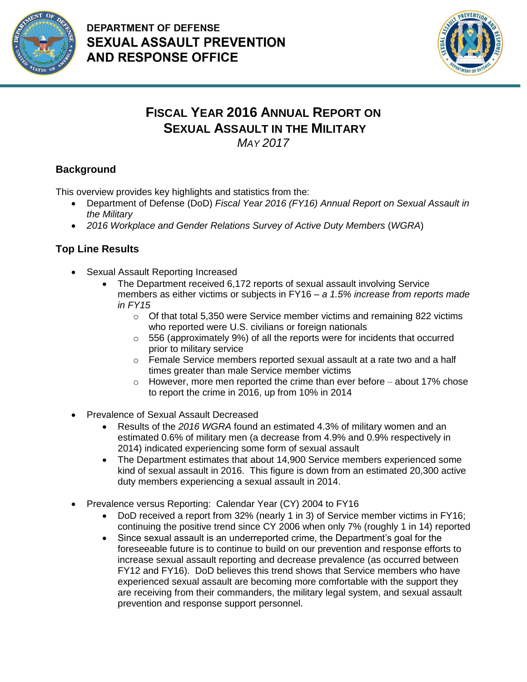



## **FISCAL YEAR 2016 ANNUAL REPORT ON SEXUAL ASSAULT IN THE MILITARY**

*MAY 2017*

## **Background**

This overview provides key highlights and statistics from the:

- Department of Defense (DoD) *Fiscal Year 2016 (FY16) Annual Report on Sexual Assault in the Military*
- *2016 Workplace and Gender Relations Survey of Active Duty Members* (*WGRA*)

## **Top Line Results**

- Sexual Assault Reporting Increased
	- The Department received 6,172 reports of sexual assault involving Service members as either victims or subjects in FY16 – *a 1.5% increase from reports made in FY15*
		- $\circ$  Of that total 5,350 were Service member victims and remaining 822 victims who reported were U.S. civilians or foreign nationals
		- $\circ$  556 (approximately 9%) of all the reports were for incidents that occurred prior to military service
		- $\circ$  Female Service members reported sexual assault at a rate two and a half times greater than male Service member victims
		- $\circ$  However, more men reported the crime than ever before about 17% chose to report the crime in 2016, up from 10% in 2014
- Prevalence of Sexual Assault Decreased
	- Results of the *2016 WGRA* found an estimated 4.3% of military women and an estimated 0.6% of military men (a decrease from 4.9% and 0.9% respectively in 2014) indicated experiencing some form of sexual assault
	- The Department estimates that about 14,900 Service members experienced some kind of sexual assault in 2016. This figure is down from an estimated 20,300 active duty members experiencing a sexual assault in 2014.
- Prevalence versus Reporting: Calendar Year (CY) 2004 to FY16
	- DoD received a report from 32% (nearly 1 in 3) of Service member victims in FY16; continuing the positive trend since CY 2006 when only 7% (roughly 1 in 14) reported
	- Since sexual assault is an underreported crime, the Department's goal for the foreseeable future is to continue to build on our prevention and response efforts to increase sexual assault reporting and decrease prevalence (as occurred between FY12 and FY16). DoD believes this trend shows that Service members who have experienced sexual assault are becoming more comfortable with the support they are receiving from their commanders, the military legal system, and sexual assault prevention and response support personnel.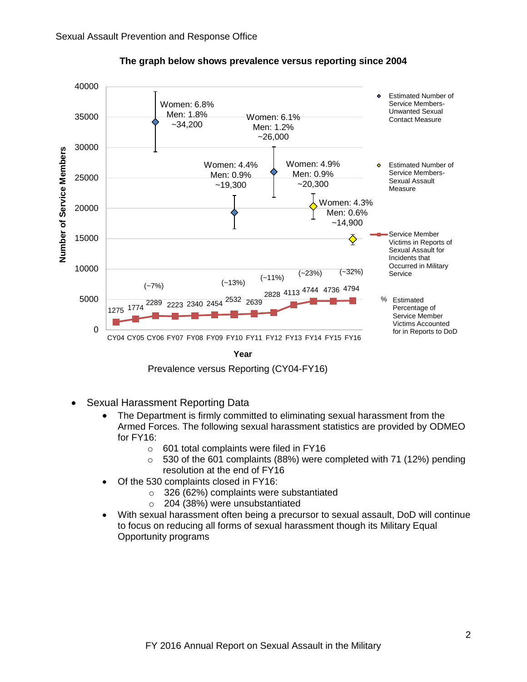

**The graph below shows prevalence versus reporting since 2004**

Prevalence versus Reporting (CY04-FY16)

- Sexual Harassment Reporting Data
	- The Department is firmly committed to eliminating sexual harassment from the Armed Forces. The following sexual harassment statistics are provided by ODMEO for FY16:
		- o 601 total complaints were filed in FY16
		- $\circ$  530 of the 601 complaints (88%) were completed with 71 (12%) pending resolution at the end of FY16
	- Of the 530 complaints closed in FY16:
		- o 326 (62%) complaints were substantiated
		- o 204 (38%) were unsubstantiated
	- With sexual harassment often being a precursor to sexual assault, DoD will continue to focus on reducing all forms of sexual harassment though its Military Equal Opportunity programs